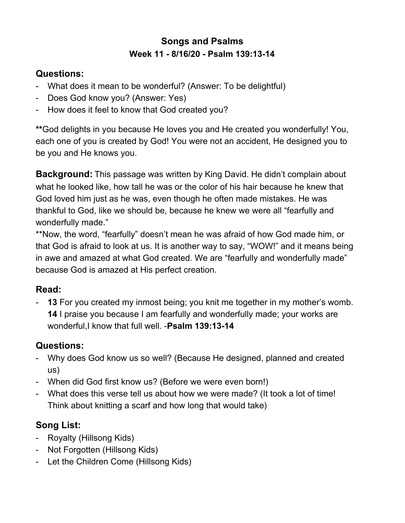## **Songs and Psalms Week 11 - 8/16/20 - Psalm 139:13-14**

#### **Questions:**

- What does it mean to be wonderful? (Answer: To be delightful)
- Does God know you? (Answer: Yes)
- How does it feel to know that God created you?

**\*\***God delights in you because He loves you and He created you wonderfully! You, each one of you is created by God! You were not an accident, He designed you to be you and He knows you.

**Background:** This passage was written by King David. He didn't complain about what he looked like, how tall he was or the color of his hair because he knew that God loved him just as he was, even though he often made mistakes. He was thankful to God, like we should be, because he knew we were all "fearfully and wonderfully made."

\*\*Now, the word, "fearfully" doesn't mean he was afraid of how God made him, or that God is afraid to look at us. It is another way to say, "WOW!" and it means being in awe and amazed at what God created. We are "fearfully and wonderfully made" because God is amazed at His perfect creation.

### **Read:**

**13** For you created my inmost being; you knit me together in my mother's womb. **14** I praise you because I am fearfully and wonderfully made; your works are wonderful,I know that full well. -**Psalm 139:13-14**

# **Questions:**

- Why does God know us so well? (Because He designed, planned and created us)
- When did God first know us? (Before we were even born!)
- What does this verse tell us about how we were made? (It took a lot of time! Think about knitting a scarf and how long that would take)

# **Song List:**

- Royalty (Hillsong Kids)
- Not Forgotten (Hillsong Kids)
- Let the Children Come (Hillsong Kids)